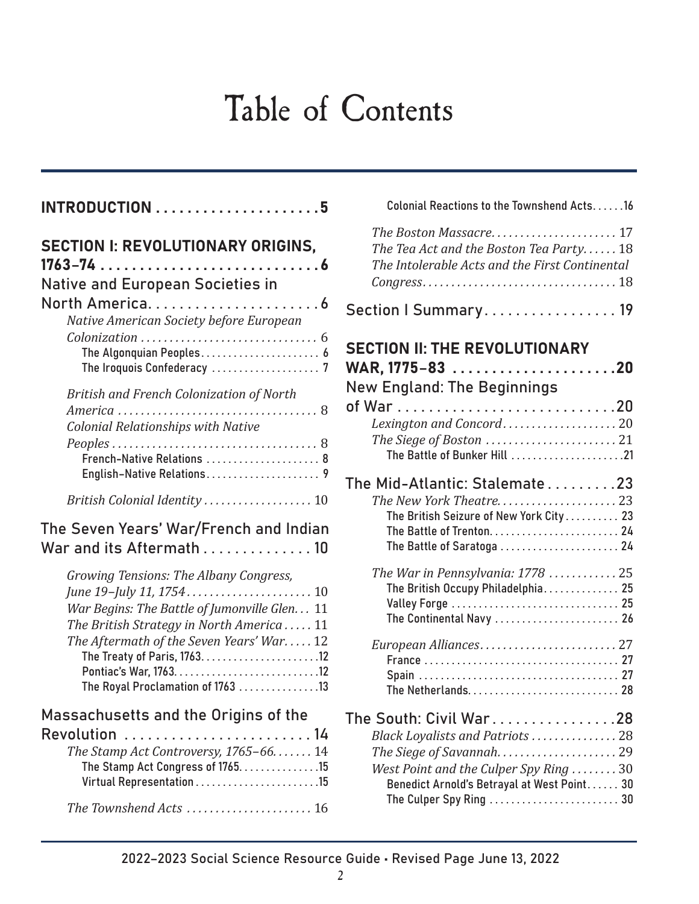## Table of Contents

| <b>SECTION I: REVOLUTIONARY ORIGINS,</b><br>Native and European Societies in<br>Native American Society before European<br>The Algonquian Peoples 6                                                                | S <sub>0</sub><br>$\overline{\mathsf{S}}$<br>W |
|--------------------------------------------------------------------------------------------------------------------------------------------------------------------------------------------------------------------|------------------------------------------------|
| <b>British and French Colonization of North</b><br>Colonial Relationships with Native<br>French-Native Relations  8<br>English-Native Relations 9<br>British Colonial Identity  10                                 | N<br>ο1<br>T۱                                  |
| The Seven Years' War/French and Indian<br>War and its Aftermath  10                                                                                                                                                |                                                |
| Growing Tensions: The Albany Congress,<br>War Begins: The Battle of Jumonville Glen 11<br>The British Strategy in North America 11<br>The Aftermath of the Seven Years' War12<br>The Royal Proclamation of 1763 13 |                                                |
| Massachusetts and the Origins of the<br>Revolution  14<br>The Stamp Act Controversy, 1765-66.  14<br>The Stamp Act Congress of 1765. 15                                                                            | Tł                                             |
| The Townshend Acts  16                                                                                                                                                                                             |                                                |

### Colonial Reactions to the Townshend Acts......16 *The Boston Massacre . .* 17 The Tea Act and the Boston Tea Party...... 18 *The Intolerable Acts and the First Continental Congress .* 18 ection | Summary . . . . . . . . . . . . . . . . 19

| <b>SECTION II: THE REVOLUTIONARY</b><br><b>New England: The Beginnings</b>                                                                                                    |  |
|-------------------------------------------------------------------------------------------------------------------------------------------------------------------------------|--|
| Lexington and Concord 20<br>The Battle of Bunker Hill 21                                                                                                                      |  |
| The Mid-Atlantic: Stalemate $\ldots \ldots \ldots 23$<br>The British Seizure of New York City 23<br>The Battle of Saratoga  24                                                |  |
| The War in Pennsylvania: $1778$ 25<br>The British Occupy Philadelphia 25<br>Valley Forge  25<br>The Continental Navy  26                                                      |  |
|                                                                                                                                                                               |  |
| The South: Civil War28<br>Black Loyalists and Patriots  28<br>West Point and the Culper Spy Ring 30<br>Benedict Arnold's Betrayal at West Point 30<br>The Culper Spy Ring  30 |  |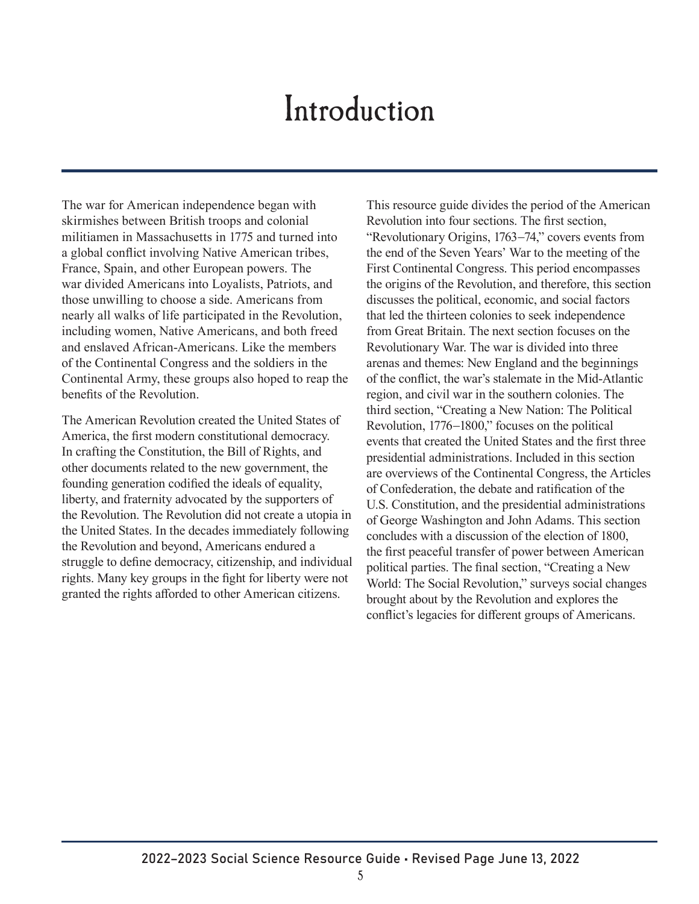## Introduction

The war for American independence began with skirmishes between British troops and colonial militiamen in Massachusetts in 1775 and turned into a global conflict involving Native American tribes, France, Spain, and other European powers. The war divided Americans into Loyalists, Patriots, and those unwilling to choose a side. Americans from nearly all walks of life participated in the Revolution, including women, Native Americans, and both freed and enslaved African-Americans. Like the members of the Continental Congress and the soldiers in the Continental Army, these groups also hoped to reap the benefits of the Revolution.

The American Revolution created the United States of America, the first modern constitutional democracy. In crafting the Constitution, the Bill of Rights, and other documents related to the new government, the founding generation codified the ideals of equality, liberty, and fraternity advocated by the supporters of the Revolution. The Revolution did not create a utopia in the United States. In the decades immediately following the Revolution and beyond, Americans endured a struggle to define democracy, citizenship, and individual rights. Many key groups in the fight for liberty were not granted the rights afforded to other American citizens.

This resource guide divides the period of the American Revolution into four sections. The first section, "Revolutionary Origins, 1763−74," covers events from the end of the Seven Years' War to the meeting of the First Continental Congress. This period encompasses the origins of the Revolution, and therefore, this section discusses the political, economic, and social factors that led the thirteen colonies to seek independence from Great Britain. The next section focuses on the Revolutionary War. The war is divided into three arenas and themes: New England and the beginnings of the conflict, the war's stalemate in the Mid-Atlantic region, and civil war in the southern colonies. The third section, "Creating a New Nation: The Political Revolution, 1776−1800," focuses on the political events that created the United States and the first three presidential administrations. Included in this section are overviews of the Continental Congress, the Articles of Confederation, the debate and ratification of the U.S. Constitution, and the presidential administrations of George Washington and John Adams. This section concludes with a discussion of the election of 1800, the first peaceful transfer of power between American political parties. The final section, "Creating a New World: The Social Revolution," surveys social changes brought about by the Revolution and explores the conflict's legacies for different groups of Americans.